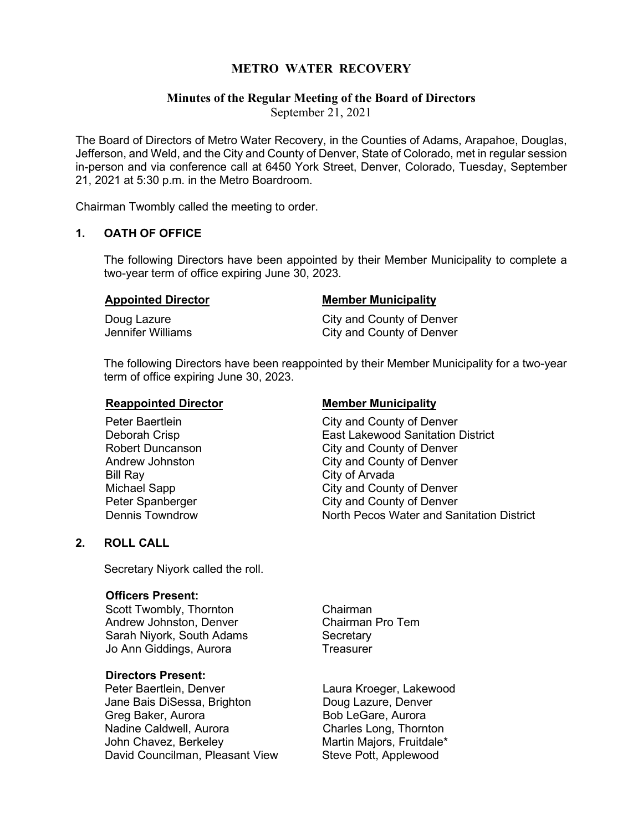# **METRO WATER RECOVERY**

# **Minutes of the Regular Meeting of the Board of Directors**

September 21, 2021

The Board of Directors of Metro Water Recovery, in the Counties of Adams, Arapahoe, Douglas, Jefferson, and Weld, and the City and County of Denver, State of Colorado, met in regular session in-person and via conference call at 6450 York Street, Denver, Colorado, Tuesday, September 21, 2021 at 5:30 p.m. in the Metro Boardroom.

Chairman Twombly called the meeting to order.

# **1. OATH OF OFFICE**

The following Directors have been appointed by their Member Municipality to complete a two-year term of office expiring June 30, 2023.

| <b>Appointed Director</b> | <b>Member Municipality</b>              |  |
|---------------------------|-----------------------------------------|--|
| Daug Lames                | $O_{i_1i_2}$ and $O_{i_2i_3i_4}$ af Dav |  |

Doug Lazure City and County of Denver Jennifer Williams City and County of Denver

The following Directors have been reappointed by their Member Municipality for a two-year term of office expiring June 30, 2023.

# **Reappointed Director Municipality**

Peter Baertlein **City** and County of Denver Deborah Crisp **East Lakewood Sanitation District** Robert Duncanson **City and County of Denver**<br>Andrew Johnston **City and County of Denver** Andrew Johnston **City and County of Denver**<br> **Bill Rav** City of Arvada City of Arvada Michael Sapp City and County of Denver<br>
Peter Spanberger<br>
City and County of Denver Peter Spanberger Figure 2011 City and County of Denver<br>
Dennis Towndrow Figure 2012 City Avenue North Pecos Water and Sa North Pecos Water and Sanitation District

# **2. ROLL CALL**

Secretary Niyork called the roll.

# **Officers Present:**

Scott Twombly, Thornton **Chairman** Andrew Johnston, Denver Chairman Pro Tem Sarah Niyork, South Adams Secretary Jo Ann Giddings, Aurora **Treasurer** 

# **Directors Present:**

Jane Bais DiSessa, Brighton **Doug Lazure, Denver** Greg Baker, Aurora **Bob LeGare**, Aurora Nadine Caldwell, Aurora<br>
John Chavez. Berkelev Martin Maiors. Fruitdale\* David Councilman, Pleasant View Steve Pott, Applewood

Laura Kroeger, Lakewood Martin Maiors, Fruitdale\*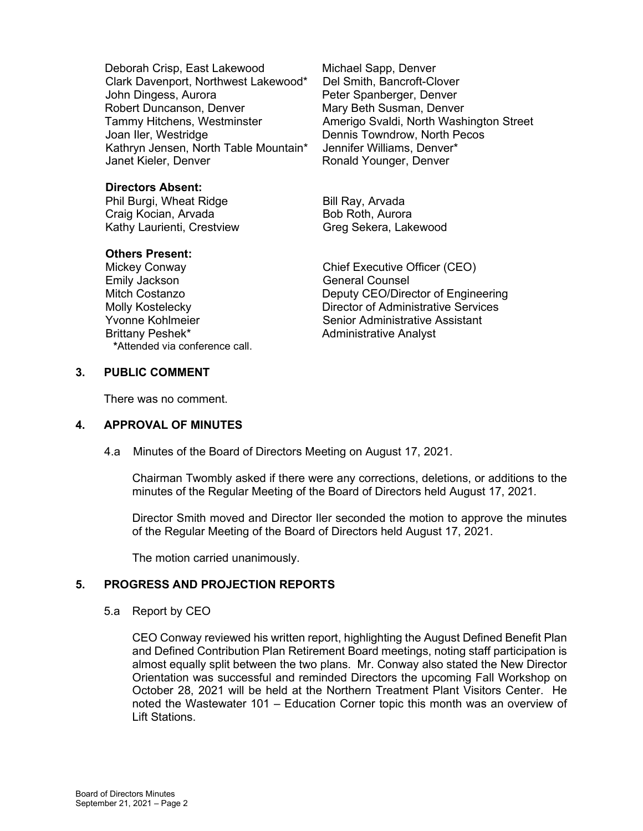Deborah Crisp, East Lakewood Michael Sapp, Denver Clark Davenport, Northwest Lakewood\* Del Smith, Bancroft-Clover John Dingess, Aurora **Peter Spanberger, Denver** Robert Duncanson, Denver **Mary Beth Susman, Denver**<br>Tammy Hitchens, Westminster **Mark Amerigo Svaldi, North Wash** Joan Iler, Westridge Dennis Towndrow, North Pecos Kathryn Jensen, North Table Mountain\* Jennifer Williams, Denver\* Janet Kieler, Denver **Notable 2018** Ronald Younger, Denver

**Directors Absent:** Phil Burgi, Wheat Ridge Bill Ray, Arvada Craig Kocian, Arvada<br>Kathy Laurienti, Crestview Greg Sekera, Lakewood Kathy Laurienti, Crestview

# **Others Present:**

Emily Jackson General Counsel Brittany Peshek\* Administrative Analyst **\***Attended via conference call.

Amerigo Svaldi, North Washington Street

Mickey Conway Chief Executive Officer (CEO) Deputy CEO/Director of Engineering Molly Kostelecky Director of Administrative Services Yvonne Kohlmeier Senior Administrative Assistant

# **3. PUBLIC COMMENT**

There was no comment.

# **4. APPROVAL OF MINUTES**

4.a Minutes of the Board of Directors Meeting on August 17, 2021.

Chairman Twombly asked if there were any corrections, deletions, or additions to the minutes of the Regular Meeting of the Board of Directors held August 17, 2021.

Director Smith moved and Director Iler seconded the motion to approve the minutes of the Regular Meeting of the Board of Directors held August 17, 2021.

The motion carried unanimously.

# **5. PROGRESS AND PROJECTION REPORTS**

5.a Report by CEO

CEO Conway reviewed his written report, highlighting the August Defined Benefit Plan and Defined Contribution Plan Retirement Board meetings, noting staff participation is almost equally split between the two plans. Mr. Conway also stated the New Director Orientation was successful and reminded Directors the upcoming Fall Workshop on October 28, 2021 will be held at the Northern Treatment Plant Visitors Center. He noted the Wastewater 101 – Education Corner topic this month was an overview of Lift Stations.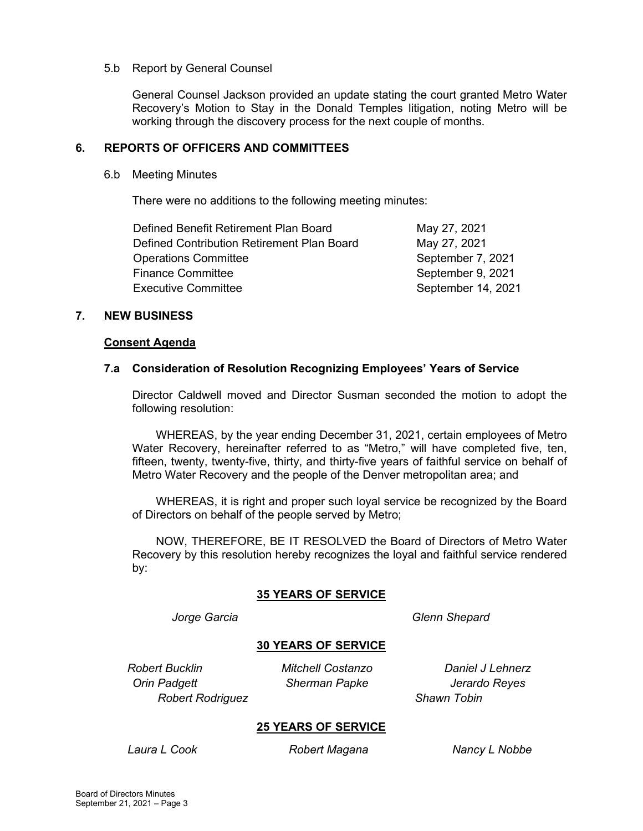# 5.b Report by General Counsel

General Counsel Jackson provided an update stating the court granted Metro Water Recovery's Motion to Stay in the Donald Temples litigation, noting Metro will be working through the discovery process for the next couple of months.

# **6. REPORTS OF OFFICERS AND COMMITTEES**

#### 6.b Meeting Minutes

There were no additions to the following meeting minutes:

| May 27, 2021       |
|--------------------|
| May 27, 2021       |
| September 7, 2021  |
| September 9, 2021  |
| September 14, 2021 |
|                    |

# **7. NEW BUSINESS**

#### **Consent Agenda**

#### **7.a Consideration of Resolution Recognizing Employees' Years of Service**

Director Caldwell moved and Director Susman seconded the motion to adopt the following resolution:

WHEREAS, by the year ending December 31, 2021, certain employees of Metro Water Recovery, hereinafter referred to as "Metro," will have completed five, ten, fifteen, twenty, twenty-five, thirty, and thirty-five years of faithful service on behalf of Metro Water Recovery and the people of the Denver metropolitan area; and

WHEREAS, it is right and proper such loyal service be recognized by the Board of Directors on behalf of the people served by Metro;

NOW, THEREFORE, BE IT RESOLVED the Board of Directors of Metro Water Recovery by this resolution hereby recognizes the loyal and faithful service rendered by:

# **35 YEARS OF SERVICE**

*Jorge Garcia Glenn Shepard*

# **30 YEARS OF SERVICE**

*Orin Padgett Sherman Papke Jerardo Reyes Robert Rodriguez Shawn Tobin*

*Robert Bucklin Mitchell Costanzo Daniel J Lehnerz*

# **25 YEARS OF SERVICE**

*Laura L Cook Robert Magana Nancy L Nobbe*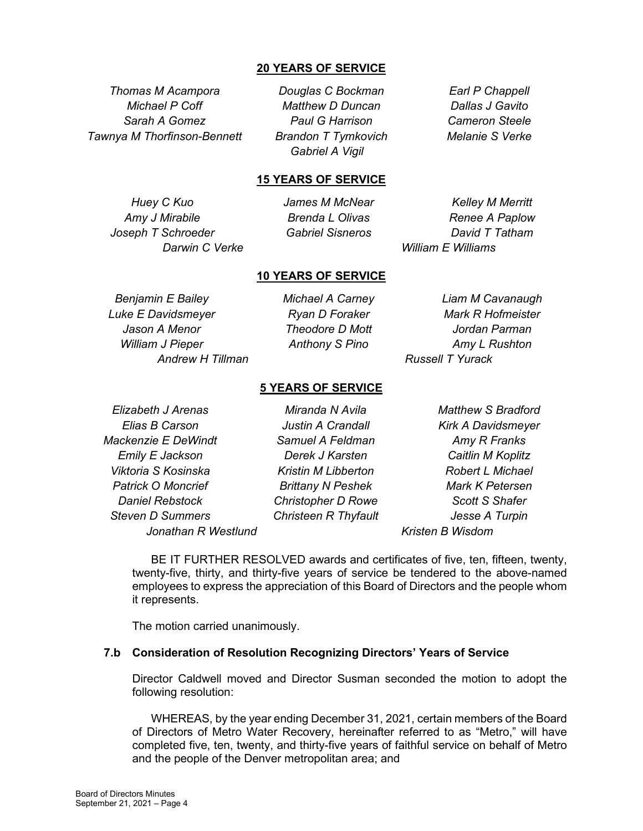# **20 YEARS OF SERVICE**

*Thomas M Acampora Douglas C Bockman Earl P Chappell Tawnya M Thorfinson-Bennett Brandon T Tymkovich Melanie S Verke*

*Michael P Coff Matthew D Duncan Dallas J Gavito Sarah A Gomez Paul G Harrison Cameron Steele Gabriel A Vigil*

#### **15 YEARS OF SERVICE**

*Joseph T Schroeder Gabriel Sisneros David T Tatham*

*Huey C Kuo James M McNear Kelley M Merritt Amy J Mirabile Brenda L Olivas Renee A Paplow Darwin C Verke William E Williams*

# **10 YEARS OF SERVICE**

*Luke E Davidsmeyer Ryan D Foraker Mark R Hofmeister Jason A Menor Theodore D Mott Jordan Parman William J Pieper Anthony S Pino Amy L Rushton Andrew H Tillman Russell T Yurack*

*Benjamin E Bailey Michael A Carney Liam M Cavanaugh*

# **5 YEARS OF SERVICE**

*Elias B Carson Justin A Crandall Kirk A Davidsmeyer Mackenzie E DeWindt Samuel A Feldman Amy R Franks Emily E Jackson Derek J Karsten Caitlin M Koplitz Viktoria S Kosinska Kristin M Libberton Robert L Michael Patrick O Moncrief Brittany N Peshek Mark K Petersen Daniel Rebstock Christopher D Rowe Scott S Shafer Steven D Summers Christeen R Thyfault Jesse A Turpin Jonathan R Westlund Kristen B Wisdom*

*Elizabeth J Arenas Miranda N Avila Matthew S Bradford*

BE IT FURTHER RESOLVED awards and certificates of five, ten, fifteen, twenty, twenty-five, thirty, and thirty-five years of service be tendered to the above-named employees to express the appreciation of this Board of Directors and the people whom it represents.

The motion carried unanimously.

#### **7.b Consideration of Resolution Recognizing Directors' Years of Service**

Director Caldwell moved and Director Susman seconded the motion to adopt the following resolution:

WHEREAS, by the year ending December 31, 2021, certain members of the Board of Directors of Metro Water Recovery, hereinafter referred to as "Metro," will have completed five, ten, twenty, and thirty-five years of faithful service on behalf of Metro and the people of the Denver metropolitan area; and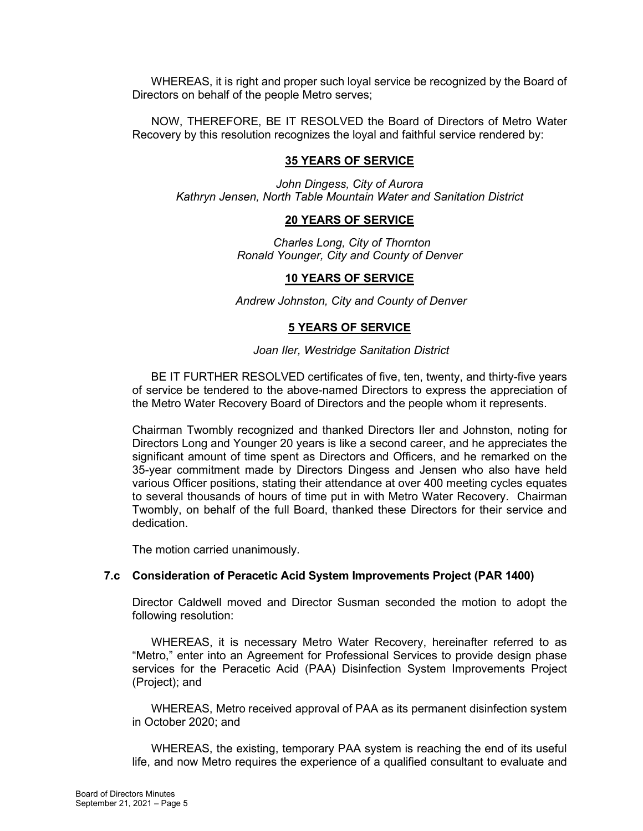WHEREAS, it is right and proper such loyal service be recognized by the Board of Directors on behalf of the people Metro serves;

NOW, THEREFORE, BE IT RESOLVED the Board of Directors of Metro Water Recovery by this resolution recognizes the loyal and faithful service rendered by:

# **35 YEARS OF SERVICE**

*John Dingess, City of Aurora Kathryn Jensen, North Table Mountain Water and Sanitation District*

# **20 YEARS OF SERVICE**

*Charles Long, City of Thornton Ronald Younger, City and County of Denver*

# **10 YEARS OF SERVICE**

*Andrew Johnston, City and County of Denver*

# **5 YEARS OF SERVICE**

#### *Joan Iler, Westridge Sanitation District*

BE IT FURTHER RESOLVED certificates of five, ten, twenty, and thirty-five years of service be tendered to the above-named Directors to express the appreciation of the Metro Water Recovery Board of Directors and the people whom it represents.

Chairman Twombly recognized and thanked Directors Iler and Johnston, noting for Directors Long and Younger 20 years is like a second career, and he appreciates the significant amount of time spent as Directors and Officers, and he remarked on the 35-year commitment made by Directors Dingess and Jensen who also have held various Officer positions, stating their attendance at over 400 meeting cycles equates to several thousands of hours of time put in with Metro Water Recovery. Chairman Twombly, on behalf of the full Board, thanked these Directors for their service and dedication.

The motion carried unanimously.

# **7.c Consideration of Peracetic Acid System Improvements Project (PAR 1400)**

Director Caldwell moved and Director Susman seconded the motion to adopt the following resolution:

WHEREAS, it is necessary Metro Water Recovery, hereinafter referred to as "Metro," enter into an Agreement for Professional Services to provide design phase services for the Peracetic Acid (PAA) Disinfection System Improvements Project (Project); and

WHEREAS, Metro received approval of PAA as its permanent disinfection system in October 2020; and

WHEREAS, the existing, temporary PAA system is reaching the end of its useful life, and now Metro requires the experience of a qualified consultant to evaluate and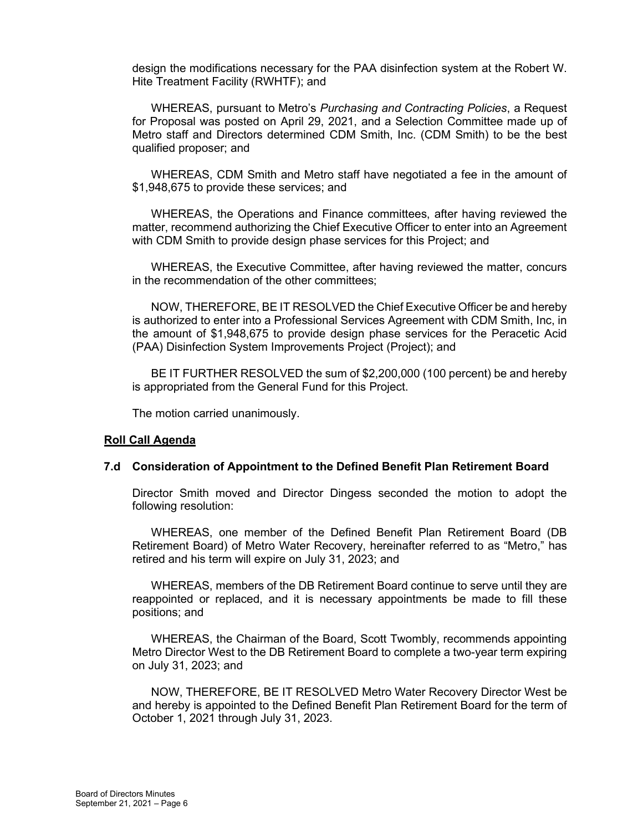design the modifications necessary for the PAA disinfection system at the Robert W. Hite Treatment Facility (RWHTF); and

WHEREAS, pursuant to Metro's *Purchasing and Contracting Policies*, a Request for Proposal was posted on April 29, 2021, and a Selection Committee made up of Metro staff and Directors determined CDM Smith, Inc. (CDM Smith) to be the best qualified proposer; and

WHEREAS, CDM Smith and Metro staff have negotiated a fee in the amount of \$1,948,675 to provide these services; and

WHEREAS, the Operations and Finance committees, after having reviewed the matter, recommend authorizing the Chief Executive Officer to enter into an Agreement with CDM Smith to provide design phase services for this Project; and

WHEREAS, the Executive Committee, after having reviewed the matter, concurs in the recommendation of the other committees;

NOW, THEREFORE, BE IT RESOLVED the Chief Executive Officer be and hereby is authorized to enter into a Professional Services Agreement with CDM Smith, Inc, in the amount of \$1,948,675 to provide design phase services for the Peracetic Acid (PAA) Disinfection System Improvements Project (Project); and

BE IT FURTHER RESOLVED the sum of \$2,200,000 (100 percent) be and hereby is appropriated from the General Fund for this Project.

The motion carried unanimously.

#### **Roll Call Agenda**

#### **7.d Consideration of Appointment to the Defined Benefit Plan Retirement Board**

Director Smith moved and Director Dingess seconded the motion to adopt the following resolution:

WHEREAS, one member of the Defined Benefit Plan Retirement Board (DB Retirement Board) of Metro Water Recovery, hereinafter referred to as "Metro," has retired and his term will expire on July 31, 2023; and

WHEREAS, members of the DB Retirement Board continue to serve until they are reappointed or replaced, and it is necessary appointments be made to fill these positions; and

WHEREAS, the Chairman of the Board, Scott Twombly, recommends appointing Metro Director West to the DB Retirement Board to complete a two-year term expiring on July 31, 2023; and

NOW, THEREFORE, BE IT RESOLVED Metro Water Recovery Director West be and hereby is appointed to the Defined Benefit Plan Retirement Board for the term of October 1, 2021 through July 31, 2023.